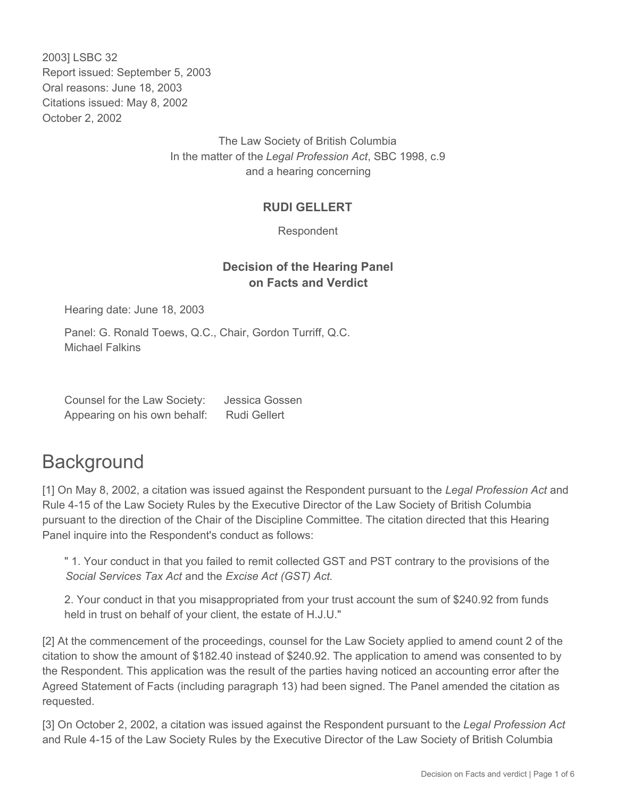2003] LSBC 32 Report issued: September 5, 2003 Oral reasons: June 18, 2003 Citations issued: May 8, 2002 October 2, 2002

> The Law Society of British Columbia In the matter of the *Legal Profession Act*, SBC 1998, c.9 and a hearing concerning

## **RUDI GELLERT**

Respondent

## **Decision of the Hearing Panel on Facts and Verdict**

Hearing date: June 18, 2003

Panel: G. Ronald Toews, Q.C., Chair, Gordon Turriff, Q.C. Michael Falkins

| Counsel for the Law Society: | Jessica Gossen      |
|------------------------------|---------------------|
| Appearing on his own behalf: | <b>Rudi Gellert</b> |

## **Background**

[1] On May 8, 2002, a citation was issued against the Respondent pursuant to the *Legal Profession Act* and Rule 4-15 of the Law Society Rules by the Executive Director of the Law Society of British Columbia pursuant to the direction of the Chair of the Discipline Committee. The citation directed that this Hearing Panel inquire into the Respondent's conduct as follows:

" 1. Your conduct in that you failed to remit collected GST and PST contrary to the provisions of the *Social Services Tax Act* and the *Excise Act (GST) Act.*

2. Your conduct in that you misappropriated from your trust account the sum of \$240.92 from funds held in trust on behalf of your client, the estate of H.J.U."

[2] At the commencement of the proceedings, counsel for the Law Society applied to amend count 2 of the citation to show the amount of \$182.40 instead of \$240.92. The application to amend was consented to by the Respondent. This application was the result of the parties having noticed an accounting error after the Agreed Statement of Facts (including paragraph 13) had been signed. The Panel amended the citation as requested.

[3] On October 2, 2002, a citation was issued against the Respondent pursuant to the *Legal Profession Act* and Rule 4-15 of the Law Society Rules by the Executive Director of the Law Society of British Columbia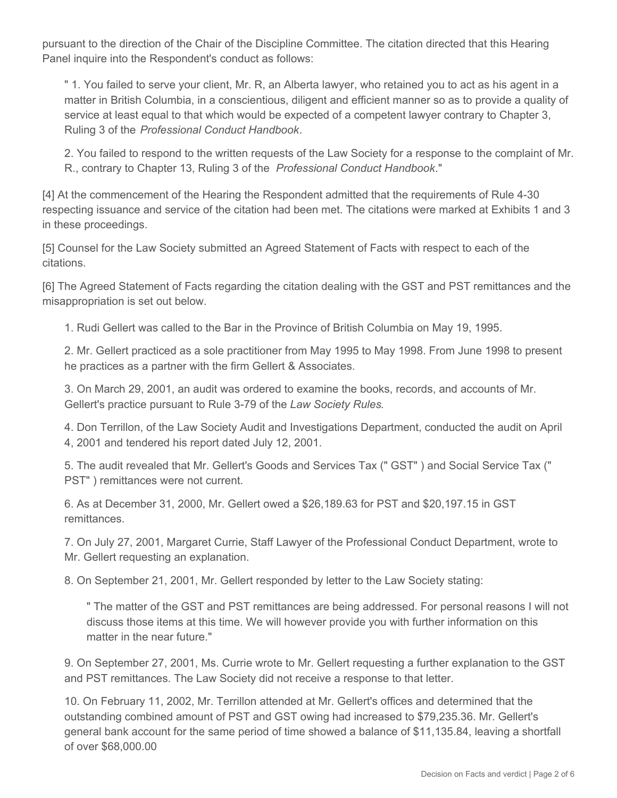pursuant to the direction of the Chair of the Discipline Committee. The citation directed that this Hearing Panel inquire into the Respondent's conduct as follows:

" 1. You failed to serve your client, Mr. R, an Alberta lawyer, who retained you to act as his agent in a matter in British Columbia, in a conscientious, diligent and efficient manner so as to provide a quality of service at least equal to that which would be expected of a competent lawyer contrary to Chapter 3, Ruling 3 of the *Professional Conduct Handbook*.

2. You failed to respond to the written requests of the Law Society for a response to the complaint of Mr. R., contrary to Chapter 13, Ruling 3 of the *Professional Conduct Handbook*."

[4] At the commencement of the Hearing the Respondent admitted that the requirements of Rule 4-30 respecting issuance and service of the citation had been met. The citations were marked at Exhibits 1 and 3 in these proceedings.

[5] Counsel for the Law Society submitted an Agreed Statement of Facts with respect to each of the citations.

[6] The Agreed Statement of Facts regarding the citation dealing with the GST and PST remittances and the misappropriation is set out below.

1. Rudi Gellert was called to the Bar in the Province of British Columbia on May 19, 1995.

2. Mr. Gellert practiced as a sole practitioner from May 1995 to May 1998. From June 1998 to present he practices as a partner with the firm Gellert & Associates.

3. On March 29, 2001, an audit was ordered to examine the books, records, and accounts of Mr. Gellert's practice pursuant to Rule 3-79 of the *Law Society Rules*.

4. Don Terrillon, of the Law Society Audit and Investigations Department, conducted the audit on April 4, 2001 and tendered his report dated July 12, 2001.

5. The audit revealed that Mr. Gellert's Goods and Services Tax (" GST" ) and Social Service Tax (" PST" ) remittances were not current.

6. As at December 31, 2000, Mr. Gellert owed a \$26,189.63 for PST and \$20,197.15 in GST remittances.

7. On July 27, 2001, Margaret Currie, Staff Lawyer of the Professional Conduct Department, wrote to Mr. Gellert requesting an explanation.

8. On September 21, 2001, Mr. Gellert responded by letter to the Law Society stating:

" The matter of the GST and PST remittances are being addressed. For personal reasons I will not discuss those items at this time. We will however provide you with further information on this matter in the near future."

9. On September 27, 2001, Ms. Currie wrote to Mr. Gellert requesting a further explanation to the GST and PST remittances. The Law Society did not receive a response to that letter.

10. On February 11, 2002, Mr. Terrillon attended at Mr. Gellert's offices and determined that the outstanding combined amount of PST and GST owing had increased to \$79,235.36. Mr. Gellert's general bank account for the same period of time showed a balance of \$11,135.84, leaving a shortfall of over \$68,000.00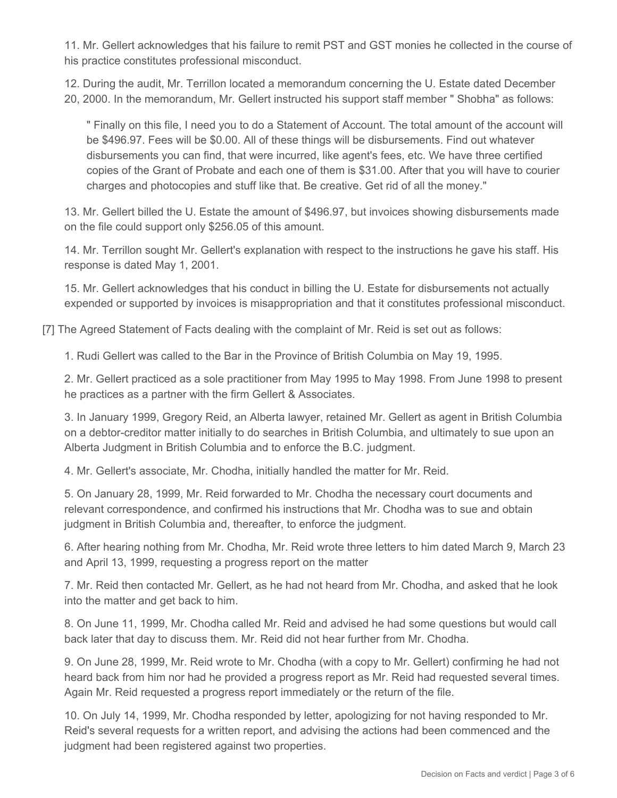11. Mr. Gellert acknowledges that his failure to remit PST and GST monies he collected in the course of his practice constitutes professional misconduct.

12. During the audit, Mr. Terrillon located a memorandum concerning the U. Estate dated December 20, 2000. In the memorandum, Mr. Gellert instructed his support staff member " Shobha" as follows:

" Finally on this file, I need you to do a Statement of Account. The total amount of the account will be \$496.97. Fees will be \$0.00. All of these things will be disbursements. Find out whatever disbursements you can find, that were incurred, like agent's fees, etc. We have three certified copies of the Grant of Probate and each one of them is \$31.00. After that you will have to courier charges and photocopies and stuff like that. Be creative. Get rid of all the money."

13. Mr. Gellert billed the U. Estate the amount of \$496.97, but invoices showing disbursements made on the file could support only \$256.05 of this amount.

14. Mr. Terrillon sought Mr. Gellert's explanation with respect to the instructions he gave his staff. His response is dated May 1, 2001.

15. Mr. Gellert acknowledges that his conduct in billing the U. Estate for disbursements not actually expended or supported by invoices is misappropriation and that it constitutes professional misconduct.

[7] The Agreed Statement of Facts dealing with the complaint of Mr. Reid is set out as follows:

1. Rudi Gellert was called to the Bar in the Province of British Columbia on May 19, 1995.

2. Mr. Gellert practiced as a sole practitioner from May 1995 to May 1998. From June 1998 to present he practices as a partner with the firm Gellert & Associates.

3. In January 1999, Gregory Reid, an Alberta lawyer, retained Mr. Gellert as agent in British Columbia on a debtor-creditor matter initially to do searches in British Columbia, and ultimately to sue upon an Alberta Judgment in British Columbia and to enforce the B.C. judgment.

4. Mr. Gellert's associate, Mr. Chodha, initially handled the matter for Mr. Reid.

5. On January 28, 1999, Mr. Reid forwarded to Mr. Chodha the necessary court documents and relevant correspondence, and confirmed his instructions that Mr. Chodha was to sue and obtain judgment in British Columbia and, thereafter, to enforce the judgment.

6. After hearing nothing from Mr. Chodha, Mr. Reid wrote three letters to him dated March 9, March 23 and April 13, 1999, requesting a progress report on the matter

7. Mr. Reid then contacted Mr. Gellert, as he had not heard from Mr. Chodha, and asked that he look into the matter and get back to him.

8. On June 11, 1999, Mr. Chodha called Mr. Reid and advised he had some questions but would call back later that day to discuss them. Mr. Reid did not hear further from Mr. Chodha.

9. On June 28, 1999, Mr. Reid wrote to Mr. Chodha (with a copy to Mr. Gellert) confirming he had not heard back from him nor had he provided a progress report as Mr. Reid had requested several times. Again Mr. Reid requested a progress report immediately or the return of the file.

10. On July 14, 1999, Mr. Chodha responded by letter, apologizing for not having responded to Mr. Reid's several requests for a written report, and advising the actions had been commenced and the judgment had been registered against two properties.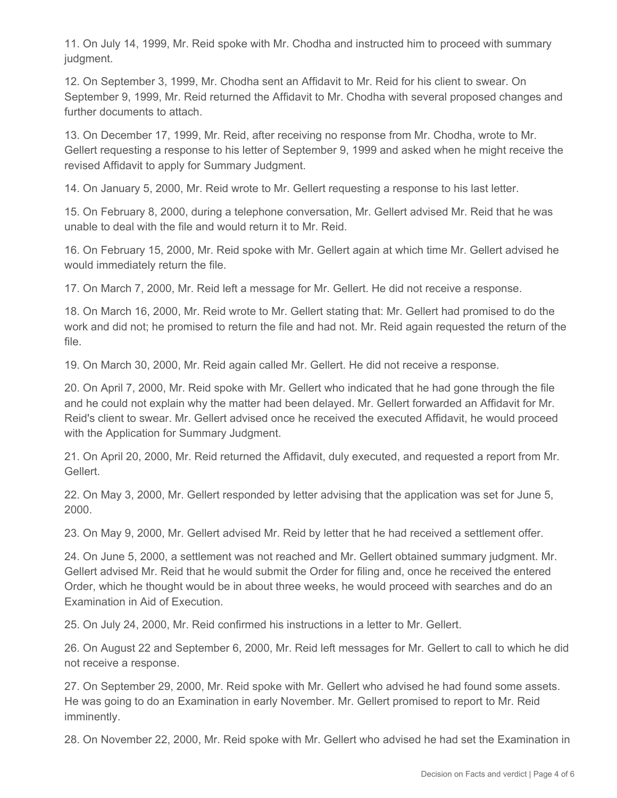11. On July 14, 1999, Mr. Reid spoke with Mr. Chodha and instructed him to proceed with summary judgment.

12. On September 3, 1999, Mr. Chodha sent an Affidavit to Mr. Reid for his client to swear. On September 9, 1999, Mr. Reid returned the Affidavit to Mr. Chodha with several proposed changes and further documents to attach.

13. On December 17, 1999, Mr. Reid, after receiving no response from Mr. Chodha, wrote to Mr. Gellert requesting a response to his letter of September 9, 1999 and asked when he might receive the revised Affidavit to apply for Summary Judgment.

14. On January 5, 2000, Mr. Reid wrote to Mr. Gellert requesting a response to his last letter.

15. On February 8, 2000, during a telephone conversation, Mr. Gellert advised Mr. Reid that he was unable to deal with the file and would return it to Mr. Reid.

16. On February 15, 2000, Mr. Reid spoke with Mr. Gellert again at which time Mr. Gellert advised he would immediately return the file.

17. On March 7, 2000, Mr. Reid left a message for Mr. Gellert. He did not receive a response.

18. On March 16, 2000, Mr. Reid wrote to Mr. Gellert stating that: Mr. Gellert had promised to do the work and did not; he promised to return the file and had not. Mr. Reid again requested the return of the file.

19. On March 30, 2000, Mr. Reid again called Mr. Gellert. He did not receive a response.

20. On April 7, 2000, Mr. Reid spoke with Mr. Gellert who indicated that he had gone through the file and he could not explain why the matter had been delayed. Mr. Gellert forwarded an Affidavit for Mr. Reid's client to swear. Mr. Gellert advised once he received the executed Affidavit, he would proceed with the Application for Summary Judgment.

21. On April 20, 2000, Mr. Reid returned the Affidavit, duly executed, and requested a report from Mr. Gellert.

22. On May 3, 2000, Mr. Gellert responded by letter advising that the application was set for June 5, 2000.

23. On May 9, 2000, Mr. Gellert advised Mr. Reid by letter that he had received a settlement offer.

24. On June 5, 2000, a settlement was not reached and Mr. Gellert obtained summary judgment. Mr. Gellert advised Mr. Reid that he would submit the Order for filing and, once he received the entered Order, which he thought would be in about three weeks, he would proceed with searches and do an Examination in Aid of Execution.

25. On July 24, 2000, Mr. Reid confirmed his instructions in a letter to Mr. Gellert.

26. On August 22 and September 6, 2000, Mr. Reid left messages for Mr. Gellert to call to which he did not receive a response.

27. On September 29, 2000, Mr. Reid spoke with Mr. Gellert who advised he had found some assets. He was going to do an Examination in early November. Mr. Gellert promised to report to Mr. Reid imminently.

28. On November 22, 2000, Mr. Reid spoke with Mr. Gellert who advised he had set the Examination in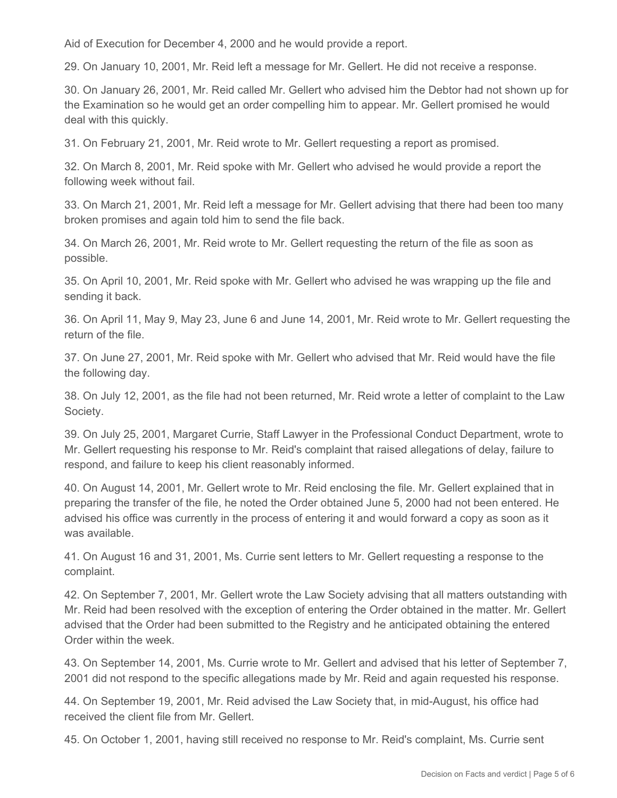Aid of Execution for December 4, 2000 and he would provide a report.

29. On January 10, 2001, Mr. Reid left a message for Mr. Gellert. He did not receive a response.

30. On January 26, 2001, Mr. Reid called Mr. Gellert who advised him the Debtor had not shown up for the Examination so he would get an order compelling him to appear. Mr. Gellert promised he would deal with this quickly.

31. On February 21, 2001, Mr. Reid wrote to Mr. Gellert requesting a report as promised.

32. On March 8, 2001, Mr. Reid spoke with Mr. Gellert who advised he would provide a report the following week without fail.

33. On March 21, 2001, Mr. Reid left a message for Mr. Gellert advising that there had been too many broken promises and again told him to send the file back.

34. On March 26, 2001, Mr. Reid wrote to Mr. Gellert requesting the return of the file as soon as possible.

35. On April 10, 2001, Mr. Reid spoke with Mr. Gellert who advised he was wrapping up the file and sending it back.

36. On April 11, May 9, May 23, June 6 and June 14, 2001, Mr. Reid wrote to Mr. Gellert requesting the return of the file.

37. On June 27, 2001, Mr. Reid spoke with Mr. Gellert who advised that Mr. Reid would have the file the following day.

38. On July 12, 2001, as the file had not been returned, Mr. Reid wrote a letter of complaint to the Law Society.

39. On July 25, 2001, Margaret Currie, Staff Lawyer in the Professional Conduct Department, wrote to Mr. Gellert requesting his response to Mr. Reid's complaint that raised allegations of delay, failure to respond, and failure to keep his client reasonably informed.

40. On August 14, 2001, Mr. Gellert wrote to Mr. Reid enclosing the file. Mr. Gellert explained that in preparing the transfer of the file, he noted the Order obtained June 5, 2000 had not been entered. He advised his office was currently in the process of entering it and would forward a copy as soon as it was available.

41. On August 16 and 31, 2001, Ms. Currie sent letters to Mr. Gellert requesting a response to the complaint.

42. On September 7, 2001, Mr. Gellert wrote the Law Society advising that all matters outstanding with Mr. Reid had been resolved with the exception of entering the Order obtained in the matter. Mr. Gellert advised that the Order had been submitted to the Registry and he anticipated obtaining the entered Order within the week.

43. On September 14, 2001, Ms. Currie wrote to Mr. Gellert and advised that his letter of September 7, 2001 did not respond to the specific allegations made by Mr. Reid and again requested his response.

44. On September 19, 2001, Mr. Reid advised the Law Society that, in mid-August, his office had received the client file from Mr. Gellert.

45. On October 1, 2001, having still received no response to Mr. Reid's complaint, Ms. Currie sent